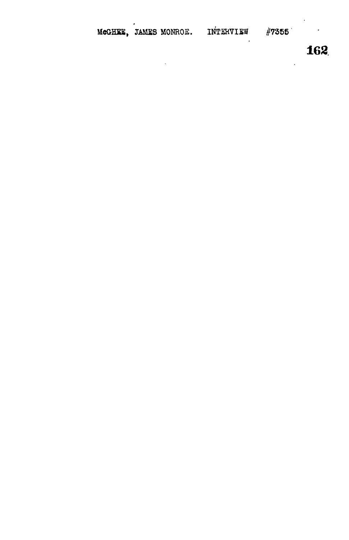MeGHEE, JAMES MONROE. INTERVIEW #7355

 $\ddot{\phantom{0}}$ 

**162**

 $\ddot{\phantom{0}}$ 

 $\ddot{\phantom{0}}$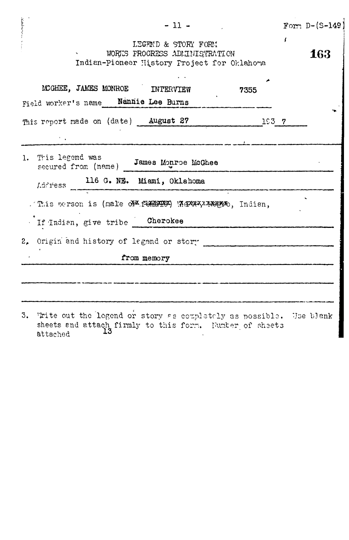| $-11 -$                                                                                                                                                                                  | Form $D-(S-149)$ |
|------------------------------------------------------------------------------------------------------------------------------------------------------------------------------------------|------------------|
| LEGEND & STORY FORM<br>WORKS PROGRESS ADMINISTRATION<br>$\gamma$<br>Indian-Pioneer History Project for Oklahoma                                                                          | <b>163</b>       |
| LCGHEE, JAMES MONROE<br>INTERVIEW<br>7355<br>Nannia<br>Tan Duma<br><b>Contract and the community of the Contract of Contract Contract Contract Contract Contract Contract Contract C</b> |                  |

| Field worker's name Nannie Lee Burns                          |  |
|---------------------------------------------------------------|--|
| This report made on (date) August 27 1937                     |  |
|                                                               |  |
| 1. This legend was<br>secured from (name) James Monroe McGhee |  |
| Address 116 G. NE. Miami, Oklahoma                            |  |
| . This person is (male of foreign) Where x more , Indian,     |  |
| If Indian, give tribe Cherokee                                |  |
| 2. Origin and history of legend or story                      |  |
| from memory                                                   |  |
|                                                               |  |
|                                                               |  |

**CONTRACTOR** 

3. Trite out the legend or story as completely as possible. Use blank sheets and attach firmly to this form. Funter of sheets attached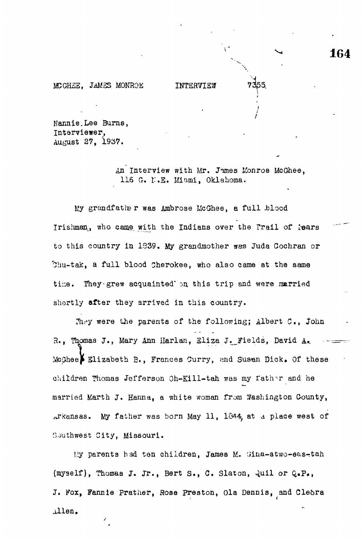MCGHEE, JAMES MONROE INTERVIEW

Nannie.Lee Burns, Interviewer, August 27, 1937.

> An Interview with Mr, Jimes Konroe McGhee, 116 G. N.E. Miami, Oklahoma.

My grandfather was Ambrose Me Ghee, a full .blood Irishman, who came with the Indians over the Trail of lears to this country in 1939. My grandmother was Juda Cochran or 'Ohu-tak, a full blood Cherokee, who also came at the same time. They grew acquainted' on this trip and were married shortly after they arrived in this country.

They were the parents of the following; Albert C., John R., Thomas J., Mary Ann Harlan, Eliza J. Fields, David A. **I I**Elizabeth E., Frances Curry, ?aid Susan Dick. Of these married Marth J. Hanna, a white woman from Washington County, arkansas. My father was born May 11, 1844, at a place west of

liy parents had ten children, James M. (iina-stwo-eas-tah J. Fox, Fannie Prather, Rose Preston, Ola Dennis, and Cleora J. Fox, Fannie Pratlier, Rose Preston, Ola Dennis, and Cle&ra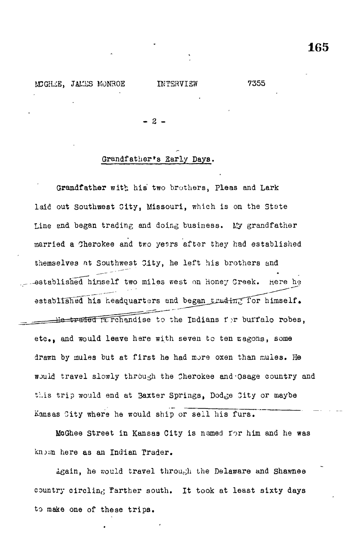**- 2 -**

#### Grandfather\*s Early Days.

Grandfather with his two brothers, Pleas and Lark laid out Southwest City, Missouri, which is on the State Line end began trading and doing business. Ky grandfather married a Cherokee and two yesrs after they had established themselves at Southwest City, he left his brothers and -established himself two miles west on Honey Creek, here he established his headquarters and began truding for himself. He traded merchandise to the Indians for buffalo robes, etc., and would leave here with seven to ten wagons, some drawn by mules but at first he had more oxen than mules. He would travel slowly through the Cherokee and-Osage country and this trip would end at Baxter Springs, Dodge 3ity or maybe Kansas City where he would ship or sell his furs.

MoGhee Street in Kansas City is named for him and he was knjun here as an Indian Trader.

Again, he would travel through the Delaware and Shawnee country circling farther south. It took at least sixty days to make one of these trips.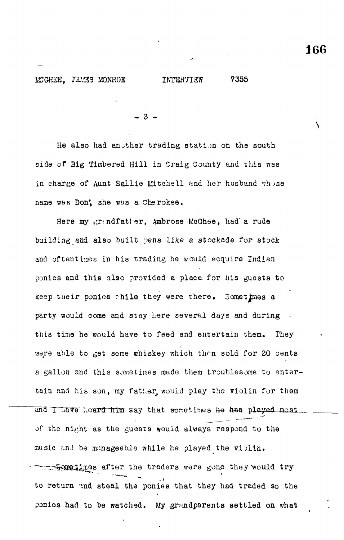**s**

#### MCGHEE, JAMES MONROE INTERVIEW 7355

- 3 -

He also had another trading station on the south side of Big Timbered Hill in Craig County and this was in charge of Aunt Sallie Mitchell and her husband  $v$ hose name was Don; she was a Cherokee.

Here my grandfatler, Ambrose McGhee, had'a rude building and also built pens like a stockade for stock and oftentimes in his trading he would acquire Indian ponies and this also provided a place for his guests to keep their ponies while they were there. Sometimes a party would come and stay here several days and during this time he would have to feed and entertain them. They were able to get some whiskey which then sold for 20 cents a gallon and this sometimes made them troublesome to entertain and his son, my father, would play the violin for them and I have heard him say that sometimes he has played most. of the night as the guests would always respond to the music and be manageable while he played the violin. **Appetimes after the traders were gone they would try** to return and steal the ponies that they had traded so the ponios had to be watched. My grandparents settled on what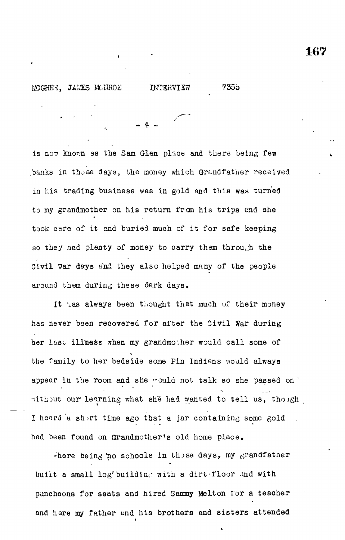is now known as the Sam Glen place and there being few banks in those days, the money which Grandfather received in his trading business was in gold and this was turned to my grandmother on his return from his trips and she took care of it and buried much of it for safe keeping so they nad plenty of money to carry them through the Civil War days and they also helped many of the people around them during these dark days.

It has always been thought that much of their money has never been recovered for after the Civil War during her last illness when my grandmother would call some of the family to her bedside some Pin Indians would always appear in the room and she would not talk so she passed on without our learning what she had wanted to tell us, though I heard a short time ago that a jar containing some gold had been found on Grandmother's old home place .

 $\div$ here being no schools in those days, my grandfather built a small log' building with a dirt floor and with puncheons for seats and hired Sammy Melton lor a teacher and here my father and his brothers and sisters attended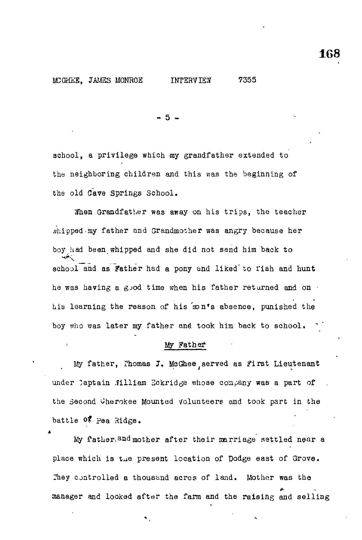#### LKGHilS, JAMES MONROE INTERVIEW 7355

- 5 -

school, a privilege which my grandfather extended to the neighboring children and this was the beginning of the old Cave Springs School.

When Grandfather was away on his trips, the teacher whipped-my father and Grandmother was angry because her boy had been whipped and she did not send him back to school and as Father had a pony and liked to fish and hunt he was having a gjod time when his father returned and on  $\cdot$ his learning the reason of his son's absence, punished the boy who was later my father and took him back to school.

#### My Father

My father, Thomas J. McGhee, served as First Lieutenant under Captain .filliam Bckridge whose company was- a part of the second Cherokee Mounted volunteers and took part in the battle of Pea Ridge.

\* My father. and mother after their marriage settled near a  $M_{\rm p}$  father, and mother after the intervals of the intervals  $\sigma$  $\mathcal{L}$ 

manager and looked after the farm and the raising and selling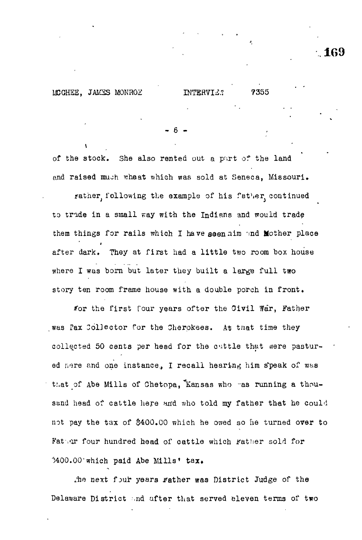MCGHEE, JAMES MONROZ BITTERVIES: 7355

 $\mathbf{V}$ 

6

of the stock. She also rented out a part of the land and raised much wheat which was sold at Seneca, Missouri. rather following the example of his father continued to tride in a small way with the Indians and would trade them things for rails which I have seen aim and Mother place # They at first had a little two room box house where I was born but later they built a large full two where  $\mathcal{L}_{\text{max}}$  was born built a large function built a large function  $\mathcal{L}_{\text{max}}$ 

for the first four years ofter the Civil War, Father /or the first four years ofter the Oivil War, Father collected 50 cents per head for the cuttle that were pastured nere and one instance, I recall hearing him speak of was that of Abe Mills of Chetopa, Kansas who was running a thounot pay the tax of  $4000$  which he owed so he owed so he owed so he turned over to help the owed so he turned over

the next four years rather was District Judge of the Jha next f:>ur years jfather was District Judge of the Delaware District and after that served eleven terms of two

Delaware District -nd after that served eleven terms of two

 $\mathcal{A}$ 00.000  $\mathcal{A}$ 00.000  $\mathcal{A}$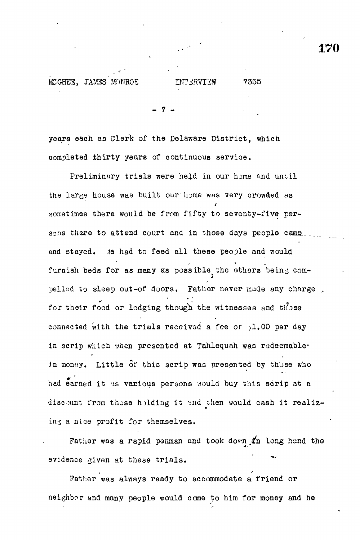- 7 -

years each as Oler'k of the Delaware District, which completed thirty years of continuous service.

Preliminary trials were held in our home and until the large house was built our- home was very crowded as sometimes there would be from fifty to seventy-five persons there to attend court and in those days people came and stayed. Se had to feed all these people and would furnish beds for as many as possible the others being compelled to sleep out-of doors. Father never made any charge for their food or lodging though the witnesses and those connected with the trials received a fee or pl.00 per day in scrip which when presented at Tahlequah was redeemablein money. Little  $\delta$ f this scrip was presented by those who had earned it us various persons would buy this scrip at a discount from those holding it and then would cash it realizing a nice profit for themselves.

Father was a rapid penman and took down  $x_n$  long hand the evidence given at these trials.

Father was always ready to accommodate a friend or neighbor and many people would cane to him for money and he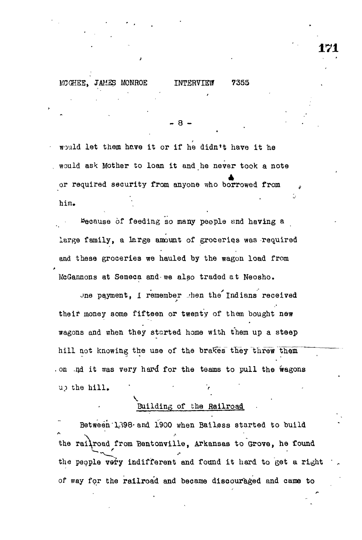### MOGHEB, *JM2S* MONROE INTERVIEW 7355

would let them have it or if he didn't have it he would ask Mother to loan it and he never took a note or required security from anyone who borrowed from بر<br>ابدا<br>ابدا him.

**- 8 -**

Because of feeding so many people and having a large family, a large amount of groceries was required and these groceries we hauled by the wagon load from McGannons at Seneca and-we also traded at Neosho.

Jne payment, I remember then the Indians received their money some fifteen or twenty of them bought new wagons and when they started home with them up a steep hill not knowing the use of the brakes they threw them . on .nd it was very hard for the teams to pull the wagons up the hill.

# Building of the Railroad

Between 1,398 and 1900 when Bailess started to build the railroad from Bentonville, Arkansas to Grove, he found the people very indifferent and found it hard to get a right of way for the railroad and became discouraged and came to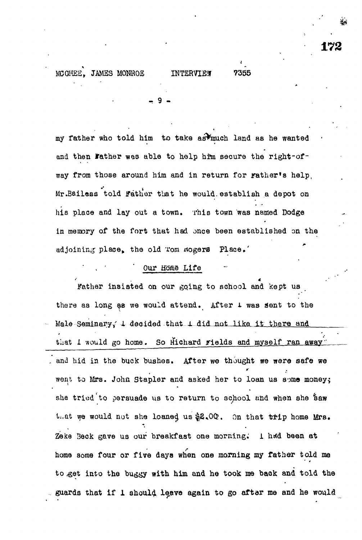#### MCGHEE. JAMES MONROE INTERVIEW 7355

- 9 «

my father who told him *to* take as^nuch land aa he wanted and then Father was able to help him secure the right-ofway from those around him and in return for rather's help, Mr.Bailess told Father that he would establish a depot on his place and lay out a town. This town was named Dodge in memory of the fort that had once been established on the adjoining place, the old Tom Rogers Place.'

#### Our Home Life

Father insisted on our gqing to school and kept us there as long as we would attend. After 1 was sent to the Male Seminary<sub>*i*</sub> 1 decided that 1 did not like it there and that I would go home. So Hichard rields and myself ran away and hid in the buck bushes. After we thought we were safe we went to Mrs. John Stapler and asked her to loan us some money; she tried to persuade us to return to school and when she Saw that we would not she loaned us  $2.00$ . On that trip home Mrs. Zeke Beck gave us our breakfast one morning. I had been at home some four or five days when one morning my father told ma to .get into the buggy with him and he took me back and told the guards that if I should leave again to go after me and he would

**172**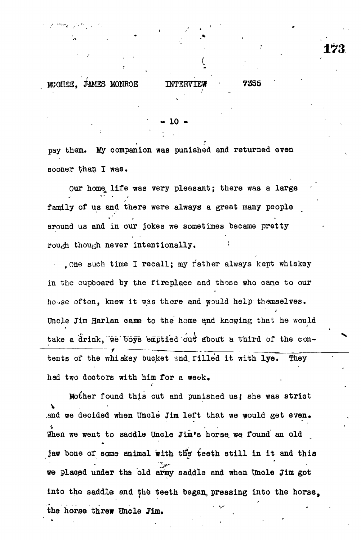e topolestate of president

#### 10  $\overline{0}$

pay them. My companion was punished and returned even sooner than I was.

Our homq, life was very pleasant; there was a large family of us and there were always a great many people around us and in our jokes we sometimes became pretty rough though never intentionally.

. One such time I recall; my father always kept whiskey in the cupboard by the rireplace and those who cane to our ho-.se often, knew it was there and would help themselves. Uncle Jim Harlan came to the home and knowing that he would take a drink, we boys 'emptied out about a third of the contents of the whiskey bucket and filled it with lye. They had two doctors with him for a week.

Mother found this out and punished us{ she was strict v .and we decided when Uncle Jim left that we would get even. When we went to saddle Uncle Jim's horse we found an old jaw bone of some animal with the teeth still in it and this we plaopd under the old army saddle and when Uncle Jim got into the saddle and the teeth began, pressing into the horse, the horse threw Uncle Jim.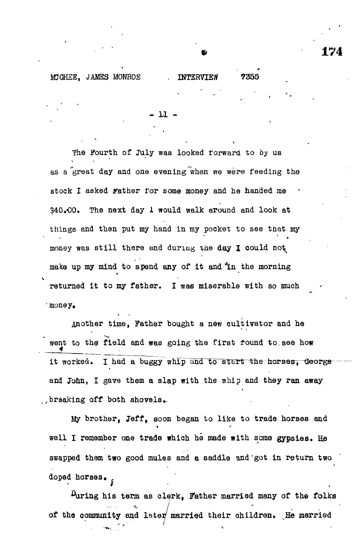#### MCGHEE, JAMES MONROE . INTERVIEW 7355

The Fourth of July was looked rorward to by us as a great day and one evening when we were feeding the stock I asked rather for some money and he handed me \$40.00. The next day 1 would walk around and look at things and then put my hand in my pocket to see tnat my money was still there and during the day I could not make up my mind to spend any of it and in the morning returned it to my father. I was miserable with so much ' money,

- 11 -

another time, Father bought a new cultivator and he went to the field and was going the first round to see how it worked. I had a buggy whip and to start the horses, George and John, I gave them a slap with the whip and they ran away braaking off both shovels,.

My brother, Jeff, soon began to like to trade horses and well I remember one trade which he made with some gypsies. He swapped them two good mules and a saddle and'got in return two doped horses.

 $\mu$ uring his term as clerk, Father married many of the folks of the community and later married their children. He married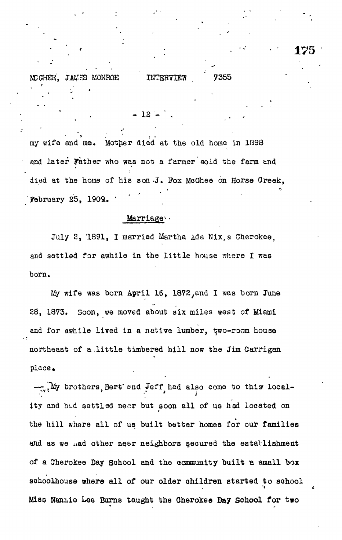# MCGHEE, JAMES MONROE INTERVIEW 7355

 $-12 -$ 

my wife and me. Mother died at the old home in 1898 and later Father who was not a farmer sold the farm and died at the home of his son J. Fox McGhee on Horse Creek, **February 25, 1909.** 

• '. < : • • 17 5

# Marriagev

July 2, 1891, I married Martha Ada Nix,a Cherokee, and settled for awhile in the little house where I was born.

My wife was born April 16, 1872, and I was born June 28, 1873. Soon, we moved about six miles west of Miami and for awhile lived in a native lumber, two-room house northeast of a .little timbered hill now the Jim Oarrigan place.

 $\mathbb{Z}$ , My brothers, Bert and Jeff had also come to this locality and htd settled near but soon all of us had located on the hill where all of us built better homes for our families and as we uad other near neighbors secured the establishment of a Cherokee Day School and the community built a small box sohoolhouse where all of our older children started to school Miss Nannie Lee Burns taught the Cherokee Bay School for two